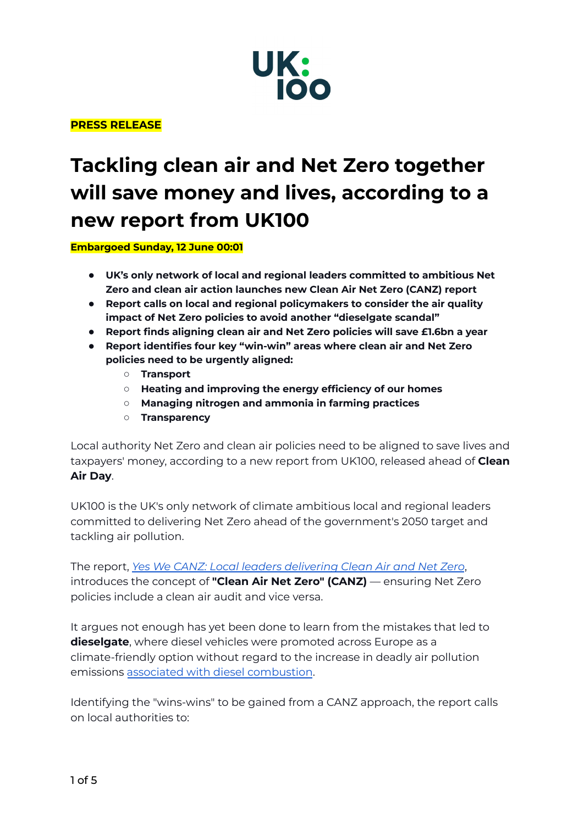

## **PRESS RELEASE**

# **Tackling clean air and Net Zero together will save money and lives, according to a new report from UK100**

**Embargoed Sunday, 12 June 00:01**

- **UK's only network of local and regional leaders committed to ambitious Net Zero and clean air action launches new Clean Air Net Zero (CANZ) report**
- **Report calls on local and regional policymakers to consider the air quality impact of Net Zero policies to avoid another "dieselgate scandal"**
- **Report finds aligning clean air and Net Zero policies will save £1.6bn a year**
- **Report identifies four key "win-win" areas where clean air and Net Zero policies need to be urgently aligned:**
	- **Transport**
	- **Heating and improving the energy efficiency of our homes**
	- **Managing nitrogen and ammonia in farming practices**
	- **Transparency**

Local authority Net Zero and clean air policies need to be aligned to save lives and taxpayers' money, according to a new report from UK100, released ahead of **Clean Air Day**.

UK100 is the UK's only network of climate ambitious local and regional leaders committed to delivering Net Zero ahead of the government's 2050 target and tackling air pollution.

The report, *Yes We CANZ: Local leaders [delivering](https://www.uk100.org/sites/default/files/2022-06/YES%20WE%20CANZ%20%7C%20Clean%20Air%20Net%20Zero%20%7C%20UK100.pdf) Clean Air and Net Zero*, introduces the concept of **"Clean Air Net Zero" (CANZ)** — ensuring Net Zero policies include a clean air audit and vice versa.

It argues not enough has yet been done to learn from the mistakes that led to **dieselgate**, where diesel vehicles were promoted across Europe as a climate-friendly option without regard to the increase in deadly air pollution emissions associated with diesel [combustion](https://www.theguardian.com/environment/2015/sep/22/the-rise-diesel-in-europe-impact-on-health-pollution#:~:text=Diesels%20produce%2015%25%20less%20CO2,the%20lungs%2C%20brain%20and%20heart.).

Identifying the "wins-wins" to be gained from a CANZ approach, the report calls on local authorities to: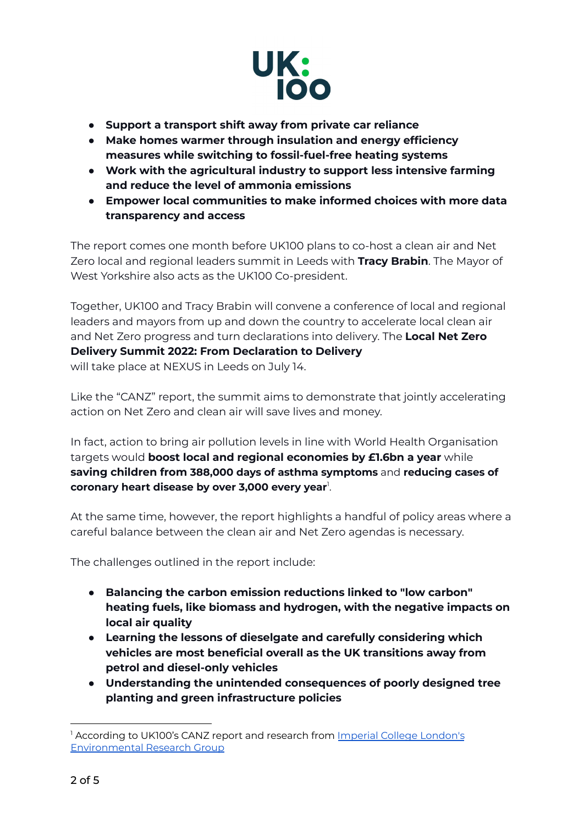

- **● Support a transport shift away from private car reliance**
- **● Make homes warmer through insulation and energy efficiency measures while switching to fossil-fuel-free heating systems**
- **● Work with the agricultural industry to support less intensive farming and reduce the level of ammonia emissions**
- **● Empower local communities to make informed choices with more data transparency and access**

The report comes one month before UK100 plans to co-host a clean air and Net Zero local and regional leaders summit in Leeds with **Tracy Brabin**. The Mayor of West Yorkshire also acts as the UK100 Co-president.

Together, UK100 and Tracy Brabin will convene a conference of local and regional leaders and mayors from up and down the country to accelerate local clean air and Net Zero progress and turn declarations into delivery. The **Local Net Zero Delivery Summit 2022: From Declaration to Delivery** will take place at NEXUS in Leeds on July 14.

Like the "CANZ" report, the summit aims to demonstrate that jointly accelerating action on Net Zero and clean air will save lives and money.

In fact, action to bring air pollution levels in line with World Health Organisation targets would **boost local and regional economies by £1.6bn a year** while **saving children from 388,000 days of asthma symptoms** and **reducing cases of coronary heart disease by over 3,000 every year** 1 .

At the same time, however, the report highlights a handful of policy areas where a careful balance between the clean air and Net Zero agendas is necessary.

The challenges outlined in the report include:

- **● Balancing the carbon emission reductions linked to "low carbon" heating fuels, like biomass and hydrogen, with the negative impacts on local air quality**
- **● Learning the lessons of dieselgate and carefully considering which vehicles are most beneficial overall as the UK transitions away from petrol and diesel-only vehicles**
- **● Understanding the unintended consequences of poorly designed tree planting and green infrastructure policies**

<sup>&</sup>lt;sup>1</sup> According to UK100's CANZ report and research from Imperial College [London's](https://www.imperial.ac.uk/news/234354/who-quality-safety-targets-achievable-across/) [Environmental](https://www.imperial.ac.uk/news/234354/who-quality-safety-targets-achievable-across/) Research Group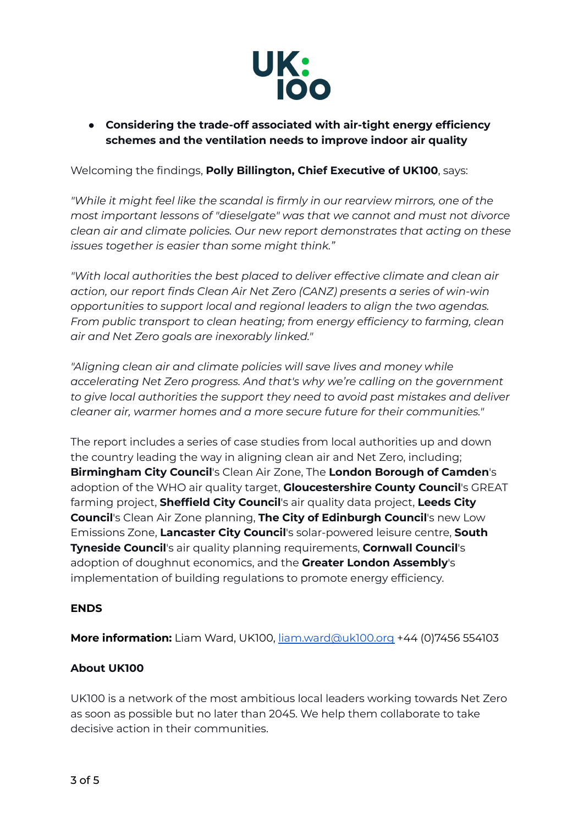

**● Considering the trade-off associated with air-tight energy efficiency schemes and the ventilation needs to improve indoor air quality**

Welcoming the findings, **Polly Billington, Chief Executive of UK100**, says:

*"While it might feel like the scandal is firmly in our rearview mirrors, one of the most important lessons of "dieselgate" was that we cannot and must not divorce clean air and climate policies. Our new report demonstrates that acting on these issues together is easier than some might think."*

*"With local authorities the best placed to deliver effective climate and clean air action, our report finds Clean Air Net Zero (CANZ) presents a series of win-win opportunities to support local and regional leaders to align the two agendas. From public transport to clean heating; from energy efficiency to farming, clean air and Net Zero goals are inexorably linked."*

*"Aligning clean air and climate policies will save lives and money while accelerating Net Zero progress. And that's why we're calling on the government to give local authorities the support they need to avoid past mistakes and deliver cleaner air, warmer homes and a more secure future for their communities."*

The report includes a series of case studies from local authorities up and down the country leading the way in aligning clean air and Net Zero, including; **Birmingham City Council**'s Clean Air Zone, The **London Borough of Camden**'s adoption of the WHO air quality target, **Gloucestershire County Council**'s GREAT farming project, **Sheffield City Council**'s air quality data project, **Leeds City Council**'s Clean Air Zone planning, **The City of Edinburgh Council**'s new Low Emissions Zone, **Lancaster City Council**'s solar-powered leisure centre, **South Tyneside Council**'s air quality planning requirements, **Cornwall Council**'s adoption of doughnut economics, and the **Greater London Assembly**'s implementation of building regulations to promote energy efficiency.

### **ENDS**

**More information:** Liam Ward, UK100, [liam.ward@uk100.org](mailto:liam.ward@uk100.org) +44 (0)7456 554103

### **About UK100**

UK100 is a network of the most ambitious local leaders working towards Net Zero as soon as possible but no later than 2045. We help them collaborate to take decisive action in their communities.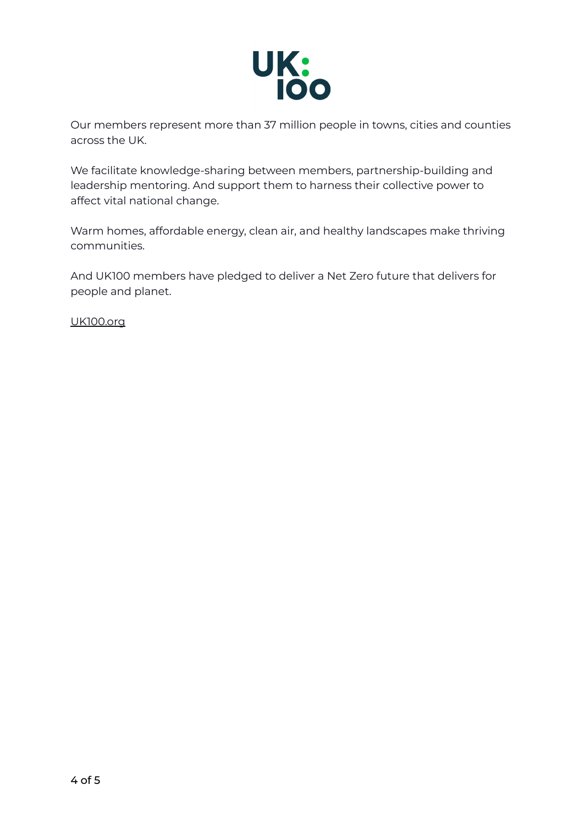

Our members represent more than 37 million people in towns, cities and counties across the UK.

We facilitate knowledge-sharing between members, partnership-building and leadership mentoring. And support them to harness their collective power to affect vital national change.

Warm homes, affordable energy, clean air, and healthy landscapes make thriving communities.

And UK100 members have pledged to deliver a Net Zero future that delivers for people and planet.

[UK100.org](http://www.uk100.org)